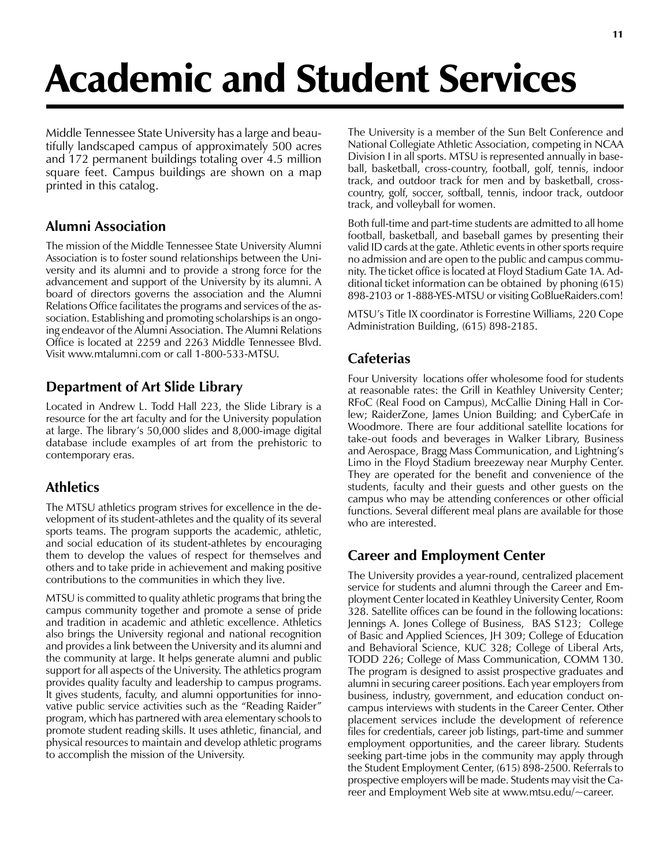# Academic and Student Services

Middle Tennessee State University has a large and beautifully landscaped campus of approximately 500 acres and 172 permanent buildings totaling over 4.5 million square feet. Campus buildings are shown on a map printed in this catalog.

# **Alumni Association**

The mission of the Middle Tennessee State University Alumni Association is to foster sound relationships between the University and its alumni and to provide a strong force for the advancement and support of the University by its alumni. A board of directors governs the association and the Alumni Relations Office facilitates the programs and services of the association. Establishing and promoting scholarships is an ongoing endeavor of the Alumni Association. The Alumni Relations Office is located at 2259 and 2263 Middle Tennessee Blvd. Visit www.mtalumni.com or call 1-800-533-MTSU.

# **Department of Art Slide Library**

Located in Andrew L. Todd Hall 223, the Slide Library is a resource for the art faculty and for the University population at large. The library's 50,000 slides and 8,000-image digital database include examples of art from the prehistoric to contemporary eras.

# **Athletics**

The MTSU athletics program strives for excellence in the development of its student-athletes and the quality of its several sports teams. The program supports the academic, athletic, and social education of its student-athletes by encouraging them to develop the values of respect for themselves and others and to take pride in achievement and making positive contributions to the communities in which they live.

MTSU is committed to quality athletic programs that bring the campus community together and promote a sense of pride and tradition in academic and athletic excellence. Athletics also brings the University regional and national recognition and provides a link between the University and its alumni and the community at large. It helps generate alumni and public support for all aspects of the University. The athletics program provides quality faculty and leadership to campus programs. It gives students, faculty, and alumni opportunities for innovative public service activities such as the "Reading Raider" program, which has partnered with area elementary schools to promote student reading skills. It uses athletic, financial, and physical resources to maintain and develop athletic programs to accomplish the mission of the University.

The University is a member of the Sun Belt Conference and National Collegiate Athletic Association, competing in NCAA Division I in all sports. MTSU is represented annually in baseball, basketball, cross-country, football, golf, tennis, indoor track, and outdoor track for men and by basketball, crosscountry, golf, soccer, softball, tennis, indoor track, outdoor track, and volleyball for women.

Both full-time and part-time students are admitted to all home football, basketball, and baseball games by presenting their valid ID cards at the gate. Athletic events in other sports require no admission and are open to the public and campus community. The ticket office is located at Floyd Stadium Gate 1A. Additional ticket information can be obtained by phoning (615) 898-2103 or 1-888-YES-MTSU or visiting GoBlueRaiders.com!

MTSU's Title IX coordinator is Forrestine Williams, 220 Cope Administration Building, (615) 898-2185.

# **Cafeterias**

Four University locations offer wholesome food for students at reasonable rates: the Grill in Keathley University Center; RFoC (Real Food on Campus), McCallie Dining Hall in Corlew; RaiderZone, James Union Building; and CyberCafe in Woodmore. There are four additional satellite locations for take-out foods and beverages in Walker Library, Business and Aerospace, Bragg Mass Communication, and Lightning's Limo in the Floyd Stadium breezeway near Murphy Center. They are operated for the benefit and convenience of the students, faculty and their guests and other guests on the campus who may be attending conferences or other official functions. Several different meal plans are available for those who are interested.

# **Career and Employment Center**

The University provides a year-round, centralized placement service for students and alumni through the Career and Employment Center located in Keathley University Center, Room 328. Satellite offices can be found in the following locations: Jennings A. Jones College of Business, BAS S123; College of Basic and Applied Sciences, JH 309; College of Education and Behavioral Science, KUC 328; College of Liberal Arts, TODD 226; College of Mass Communication, COMM 130. The program is designed to assist prospective graduates and alumni in securing career positions. Each year employers from business, industry, government, and education conduct oncampus interviews with students in the Career Center. Other placement services include the development of reference files for credentials, career job listings, part-time and summer employment opportunities, and the career library. Students seeking part-time jobs in the community may apply through the Student Employment Center, (615) 898-2500. Referrals to prospective employers will be made. Students may visit the Career and Employment Web site at www.mtsu.edu/~career.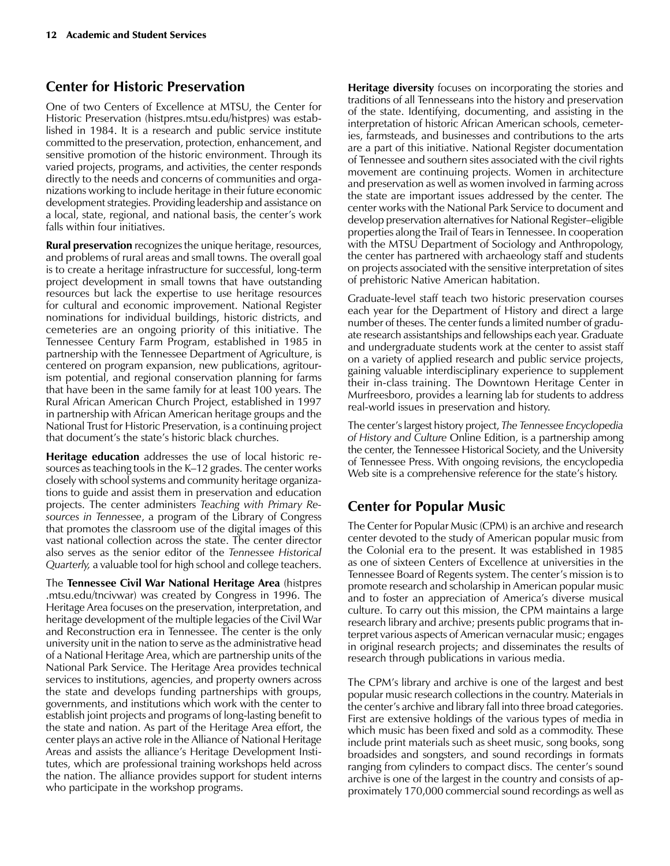## **Center for Historic Preservation**

One of two Centers of Excellence at MTSU, the Center for Historic Preservation (histpres.mtsu.edu/histpres) was established in 1984. It is a research and public service institute committed to the preservation, protection, enhancement, and sensitive promotion of the historic environment. Through its varied projects, programs, and activities, the center responds directly to the needs and concerns of communities and organizations working to include heritage in their future economic development strategies. Providing leadership and assistance on a local, state, regional, and national basis, the center's work falls within four initiatives.

**Rural preservation** recognizes the unique heritage, resources, and problems of rural areas and small towns. The overall goal is to create a heritage infrastructure for successful, long-term project development in small towns that have outstanding resources but lack the expertise to use heritage resources for cultural and economic improvement. National Register nominations for individual buildings, historic districts, and cemeteries are an ongoing priority of this initiative. The Tennessee Century Farm Program, established in 1985 in partnership with the Tennessee Department of Agriculture, is centered on program expansion, new publications, agritourism potential, and regional conservation planning for farms that have been in the same family for at least 100 years. The Rural African American Church Project, established in 1997 in partnership with African American heritage groups and the National Trust for Historic Preservation, is a continuing project that document's the state's historic black churches.

**Heritage education** addresses the use of local historic resources as teaching tools in the K–12 grades. The center works closely with school systems and community heritage organizations to guide and assist them in preservation and education projects. The center administers *Teaching with Primary Resources in Tennessee*, a program of the Library of Congress that promotes the classroom use of the digital images of this vast national collection across the state. The center director also serves as the senior editor of the *Tennessee Historical Quarterly,* a valuable tool for high school and college teachers.

The **Tennessee Civil War National Heritage Area** (histpres .mtsu.edu/tncivwar) was created by Congress in 1996. The Heritage Area focuses on the preservation, interpretation, and heritage development of the multiple legacies of the Civil War and Reconstruction era in Tennessee. The center is the only university unit in the nation to serve as the administrative head of a National Heritage Area, which are partnership units of the National Park Service. The Heritage Area provides technical services to institutions, agencies, and property owners across the state and develops funding partnerships with groups, governments, and institutions which work with the center to establish joint projects and programs of long-lasting benefit to the state and nation. As part of the Heritage Area effort, the center plays an active role in the Alliance of National Heritage Areas and assists the alliance's Heritage Development Institutes, which are professional training workshops held across the nation. The alliance provides support for student interns who participate in the workshop programs.

**Heritage diversity** focuses on incorporating the stories and traditions of all Tennesseans into the history and preservation of the state. Identifying, documenting, and assisting in the interpretation of historic African American schools, cemeteries, farmsteads, and businesses and contributions to the arts are a part of this initiative. National Register documentation of Tennessee and southern sites associated with the civil rights movement are continuing projects. Women in architecture and preservation as well as women involved in farming across the state are important issues addressed by the center. The center works with the National Park Service to document and develop preservation alternatives for National Register–eligible properties along the Trail of Tears in Tennessee. In cooperation with the MTSU Department of Sociology and Anthropology, the center has partnered with archaeology staff and students on projects associated with the sensitive interpretation of sites of prehistoric Native American habitation.

Graduate-level staff teach two historic preservation courses each year for the Department of History and direct a large number of theses. The center funds a limited number of graduate research assistantships and fellowships each year. Graduate and undergraduate students work at the center to assist staff on a variety of applied research and public service projects, gaining valuable interdisciplinary experience to supplement their in-class training. The Downtown Heritage Center in Murfreesboro, provides a learning lab for students to address real-world issues in preservation and history.

The center's largest history project, *The Tennessee Encyclopedia of History and Culture* Online Edition, is a partnership among the center, the Tennessee Historical Society, and the University of Tennessee Press. With ongoing revisions, the encyclopedia Web site is a comprehensive reference for the state's history.

# **Center for Popular Music**

The Center for Popular Music (CPM) is an archive and research center devoted to the study of American popular music from the Colonial era to the present. It was established in 1985 as one of sixteen Centers of Excellence at universities in the Tennessee Board of Regents system. The center's mission is to promote research and scholarship in American popular music and to foster an appreciation of America's diverse musical culture. To carry out this mission, the CPM maintains a large research library and archive; presents public programs that interpret various aspects of American vernacular music; engages in original research projects; and disseminates the results of research through publications in various media.

The CPM's library and archive is one of the largest and best popular music research collections in the country. Materials in the center's archive and library fall into three broad categories. First are extensive holdings of the various types of media in which music has been fixed and sold as a commodity. These include print materials such as sheet music, song books, song broadsides and songsters, and sound recordings in formats ranging from cylinders to compact discs. The center's sound archive is one of the largest in the country and consists of approximately 170,000 commercial sound recordings as well as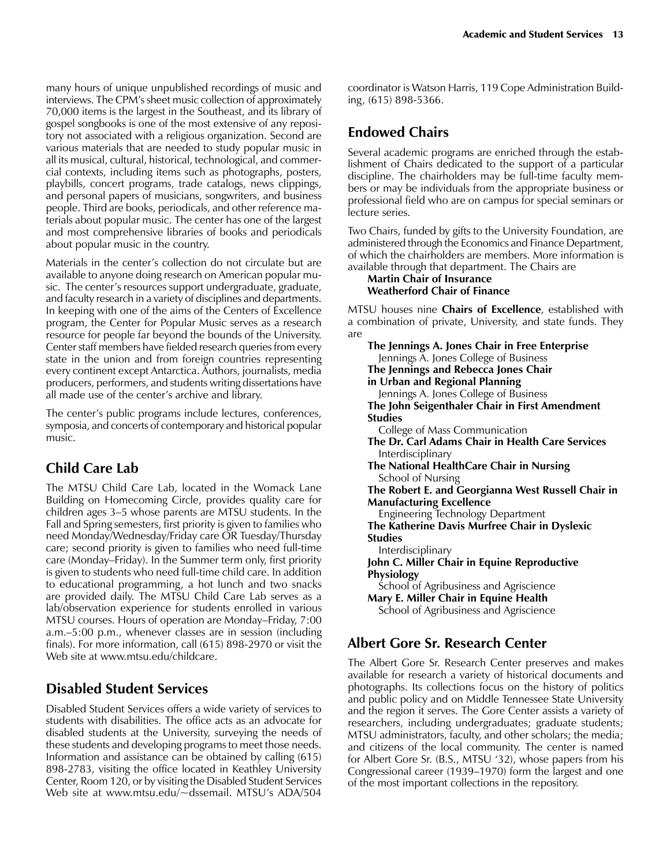many hours of unique unpublished recordings of music and interviews. The CPM's sheet music collection of approximately 70,000 items is the largest in the Southeast, and its library of gospel songbooks is one of the most extensive of any repository not associated with a religious organization. Second are various materials that are needed to study popular music in all its musical, cultural, historical, technological, and commercial contexts, including items such as photographs, posters, playbills, concert programs, trade catalogs, news clippings, and personal papers of musicians, songwriters, and business people. Third are books, periodicals, and other reference materials about popular music. The center has one of the largest and most comprehensive libraries of books and periodicals about popular music in the country.

Materials in the center's collection do not circulate but are available to anyone doing research on American popular music. The center's resources support undergraduate, graduate, and faculty research in a variety of disciplines and departments. In keeping with one of the aims of the Centers of Excellence program, the Center for Popular Music serves as a research resource for people far beyond the bounds of the University. Center staff members have fielded research queries from every state in the union and from foreign countries representing every continent except Antarctica. Authors, journalists, media producers, performers, and students writing dissertations have all made use of the center's archive and library.

The center's public programs include lectures, conferences, symposia, and concerts of contemporary and historical popular music.

## **Child Care Lab**

The MTSU Child Care Lab, located in the Womack Lane Building on Homecoming Circle, provides quality care for children ages 3–5 whose parents are MTSU students. In the Fall and Spring semesters, first priority is given to families who need Monday/Wednesday/Friday care OR Tuesday/Thursday care; second priority is given to families who need full-time care (Monday–Friday). In the Summer term only, first priority is given to students who need full-time child care. In addition to educational programming, a hot lunch and two snacks are provided daily. The MTSU Child Care Lab serves as a lab/observation experience for students enrolled in various MTSU courses. Hours of operation are Monday–Friday, 7:00 a.m.–5:00 p.m., whenever classes are in session (including finals). For more information, call (615) 898-2970 or visit the Web site at www.mtsu.edu/childcare.

## **Disabled Student Services**

Disabled Student Services offers a wide variety of services to students with disabilities. The office acts as an advocate for disabled students at the University, surveying the needs of these students and developing programs to meet those needs. Information and assistance can be obtained by calling (615) 898-2783, visiting the office located in Keathley University Center, Room 120, or by visiting the Disabled Student Services Web site at www.mtsu.edu/~dssemail. MTSU's ADA/504

coordinator is Watson Harris, 119 Cope Administration Building, (615) 898-5366.

## **Endowed Chairs**

Several academic programs are enriched through the establishment of Chairs dedicated to the support of a particular discipline. The chairholders may be full-time faculty members or may be individuals from the appropriate business or professional field who are on campus for special seminars or lecture series.

Two Chairs, funded by gifts to the University Foundation, are administered through the Economics and Finance Department, of which the chairholders are members. More information is available through that department. The Chairs are

#### **Martin Chair of Insurance Weatherford Chair of Finance**

MTSU houses nine **Chairs of Excellence**, established with a combination of private, University, and state funds. They are

**The Jennings A. Jones Chair in Free Enterprise** Jennings A. Jones College of Business **The Jennings and Rebecca Jones Chair in Urban and Regional Planning** Jennings A. Jones College of Business **The John Seigenthaler Chair in First Amendment Studies** College of Mass Communication **The Dr. Carl Adams Chair in Health Care Services** Interdisciplinary **The National HealthCare Chair in Nursing** School of Nursing **The Robert E. and Georgianna West Russell Chair in Manufacturing Excellence** Engineering Technology Department **The Katherine Davis Murfree Chair in Dyslexic Studies** Interdisciplinary **John C. Miller Chair in Equine Reproductive Physiology** School of Agribusiness and Agriscience **Mary E. Miller Chair in Equine Health** School of Agribusiness and Agriscience

## **Albert Gore Sr. Research Center**

The Albert Gore Sr. Research Center preserves and makes available for research a variety of historical documents and photographs. Its collections focus on the history of politics and public policy and on Middle Tennessee State University and the region it serves. The Gore Center assists a variety of researchers, including undergraduates; graduate students; MTSU administrators, faculty, and other scholars; the media; and citizens of the local community. The center is named for Albert Gore Sr. (B.S., MTSU '32), whose papers from his Congressional career (1939–1970) form the largest and one of the most important collections in the repository.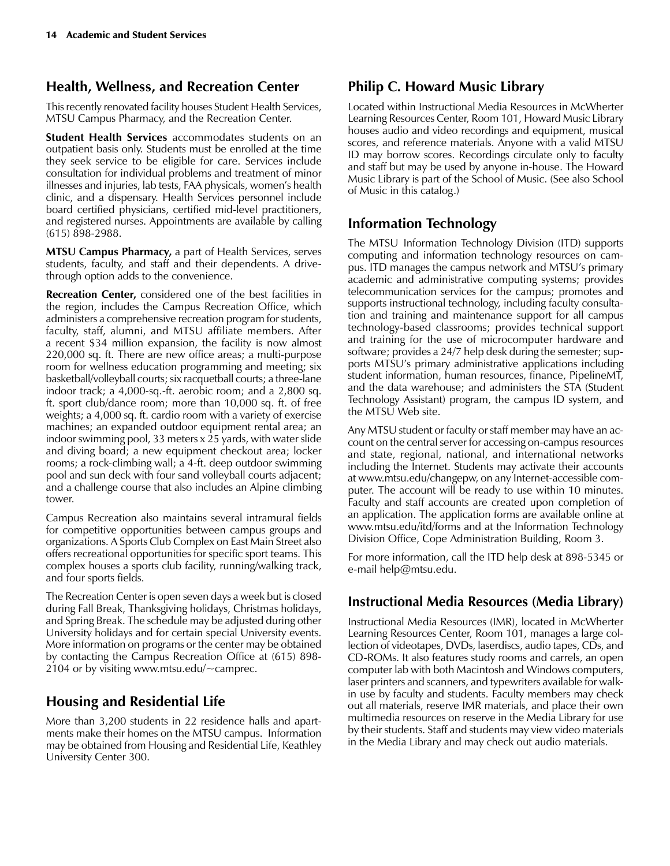## **Health, Wellness, and Recreation Center**

This recently renovated facility houses Student Health Services, MTSU Campus Pharmacy, and the Recreation Center.

**Student Health Services** accommodates students on an outpatient basis only. Students must be enrolled at the time they seek service to be eligible for care. Services include consultation for individual problems and treatment of minor illnesses and injuries, lab tests, FAA physicals, women's health clinic, and a dispensary. Health Services personnel include board certified physicians, certified mid-level practitioners, and registered nurses. Appointments are available by calling (615) 898-2988.

**MTSU Campus Pharmacy,** a part of Health Services, serves students, faculty, and staff and their dependents. A drivethrough option adds to the convenience.

**Recreation Center,** considered one of the best facilities in the region, includes the Campus Recreation Office, which administers a comprehensive recreation program for students, faculty, staff, alumni, and MTSU affiliate members. After a recent \$34 million expansion, the facility is now almost 220,000 sq. ft. There are new office areas; a multi-purpose room for wellness education programming and meeting; six basketball/volleyball courts; six racquetball courts; a three-lane indoor track; a 4,000-sq.-ft. aerobic room; and a 2,800 sq. ft. sport club/dance room; more than 10,000 sq. ft. of free weights; a 4,000 sq. ft. cardio room with a variety of exercise machines; an expanded outdoor equipment rental area; an indoor swimming pool, 33 meters x 25 yards, with water slide and diving board; a new equipment checkout area; locker rooms; a rock-climbing wall; a 4-ft. deep outdoor swimming pool and sun deck with four sand volleyball courts adjacent; and a challenge course that also includes an Alpine climbing tower.

Campus Recreation also maintains several intramural fields for competitive opportunities between campus groups and organizations. A Sports Club Complex on East Main Street also offers recreational opportunities for specific sport teams. This complex houses a sports club facility, running/walking track, and four sports fields.

The Recreation Center is open seven days a week but is closed during Fall Break, Thanksgiving holidays, Christmas holidays, and Spring Break. The schedule may be adjusted during other University holidays and for certain special University events. More information on programs or the center may be obtained by contacting the Campus Recreation Office at (615) 898-2104 or by visiting www.mtsu.edu/ $\sim$ camprec.

# **Housing and Residential Life**

More than 3,200 students in 22 residence halls and apartments make their homes on the MTSU campus. Information may be obtained from Housing and Residential Life, Keathley University Center 300.

# **Philip C. Howard Music Library**

Located within Instructional Media Resources in McWherter Learning Resources Center, Room 101, Howard Music Library houses audio and video recordings and equipment, musical scores, and reference materials. Anyone with a valid MTSU ID may borrow scores. Recordings circulate only to faculty and staff but may be used by anyone in-house. The Howard Music Library is part of the School of Music. (See also School of Music in this catalog.)

# **Information Technology**

The MTSU  Information Technology Division (ITD) supports computing and information technology resources on campus. ITD manages the campus network and MTSU's primary academic and administrative computing systems; provides telecommunication services for the campus; promotes and supports instructional technology, including faculty consultation and training and maintenance support for all campus technology-based classrooms; provides technical support and training for the use of microcomputer hardware and software; provides a 24/7 help desk during the semester; supports MTSU's primary administrative applications including student information, human resources, finance, PipelineMT, and the data warehouse; and administers the STA (Student Technology Assistant) program, the campus ID system, and the MTSU Web site.

Any MTSU student or faculty or staff member may have an account on the central server for accessing on-campus resources and state, regional, national, and international networks including the Internet. Students may activate their accounts at www.mtsu.edu/changepw, on any Internet-accessible computer. The account will be ready to use within 10 minutes. Faculty and staff accounts are created upon completion of an application. The application forms are available online at www.mtsu.edu/itd/forms and at the Information Technology Division Office, Cope Administration Building, Room 3.

For more information, call the ITD help desk at 898-5345 or e-mail help@mtsu.edu.

# **Instructional Media Resources (Media Library)**

Instructional Media Resources (IMR), located in McWherter Learning Resources Center, Room 101, manages a large collection of videotapes, DVDs, laserdiscs, audio tapes, CDs, and CD-ROMs. It also features study rooms and carrels, an open computer lab with both Macintosh and Windows computers, laser printers and scanners, and typewriters available for walkin use by faculty and students. Faculty members may check out all materials, reserve IMR materials, and place their own multimedia resources on reserve in the Media Library for use by their students. Staff and students may view video materials in the Media Library and may check out audio materials.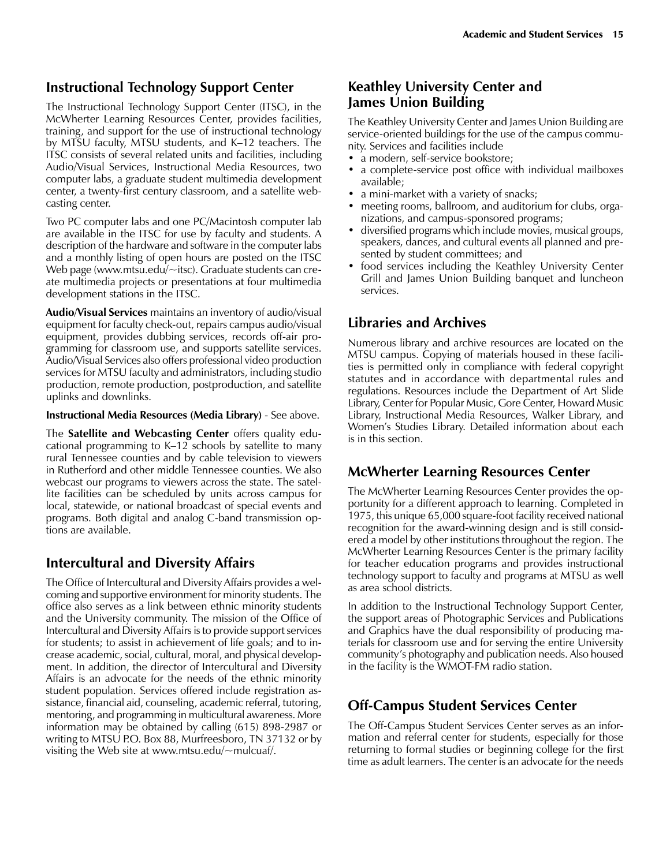#### **Instructional Technology Support Center**

The Instructional Technology Support Center (ITSC), in the McWherter Learning Resources Center, provides facilities, training, and support for the use of instructional technology by MTSU faculty, MTSU students, and K–12 teachers. The ITSC consists of several related units and facilities, including Audio/Visual Services, Instructional Media Resources, two computer labs, a graduate student multimedia development center, a twenty-first century classroom, and a satellite webcasting center.

Two PC computer labs and one PC/Macintosh computer lab are available in the ITSC for use by faculty and students. A description of the hardware and software in the computer labs and a monthly listing of open hours are posted on the ITSC Web page (www.mtsu.edu/~itsc). Graduate students can create multimedia projects or presentations at four multimedia development stations in the ITSC.

**Audio/Visual Services** maintains an inventory of audio/visual equipment for faculty check-out, repairs campus audio/visual equipment, provides dubbing services, records off-air programming for classroom use, and supports satellite services. Audio/Visual Services also offers professional video production services for MTSU faculty and administrators, including studio production, remote production, postproduction, and satellite uplinks and downlinks. 

#### **Instructional Media Resources (Media Library)** - See above.

The **Satellite and Webcasting Center** offers quality educational programming to K–12 schools by satellite to many rural Tennessee counties and by cable television to viewers in Rutherford and other middle Tennessee counties. We also webcast our programs to viewers across the state. The satellite facilities can be scheduled by units across campus for local, statewide, or national broadcast of special events and programs. Both digital and analog C-band transmission options are available.

#### **Intercultural and Diversity Affairs**

The Office of Intercultural and Diversity Affairs provides a welcoming and supportive environment for minority students. The office also serves as a link between ethnic minority students and the University community. The mission of the Office of Intercultural and Diversity Affairs is to provide support services for students; to assist in achievement of life goals; and to increase academic, social, cultural, moral, and physical development. In addition, the director of Intercultural and Diversity Affairs is an advocate for the needs of the ethnic minority student population. Services offered include registration assistance, financial aid, counseling, academic referral, tutoring, mentoring, and programming in multicultural awareness. More information may be obtained by calling (615) 898-2987 or writing to MTSU P.O. Box 88, Murfreesboro, TN 37132 or by visiting the Web site at www.mtsu.edu/~mulcuaf/.

#### **Keathley University Center and James Union Building**

The Keathley University Center and James Union Building are service-oriented buildings for the use of the campus community. Services and facilities include

- a modern, self-service bookstore;
- a complete-service post office with individual mailboxes available;
- a mini-market with a variety of snacks;
- meeting rooms, ballroom, and auditorium for clubs, organizations, and campus-sponsored programs;
- diversified programs which include movies, musical groups, speakers, dances, and cultural events all planned and presented by student committees; and
- food services including the Keathley University Center Grill and James Union Building banquet and luncheon services.

## **Libraries and Archives**

Numerous library and archive resources are located on the MTSU campus. Copying of materials housed in these facilities is permitted only in compliance with federal copyright statutes and in accordance with departmental rules and regulations. Resources include the Department of Art Slide Library, Center for Popular Music, Gore Center, Howard Music Library, Instructional Media Resources, Walker Library, and Women's Studies Library. Detailed information about each is in this section.

## **McWherter Learning Resources Center**

The McWherter Learning Resources Center provides the opportunity for a different approach to learning. Completed in 1975, this unique 65,000 square-foot facility received national recognition for the award-winning design and is still considered a model by other institutions throughout the region. The McWherter Learning Resources Center is the primary facility for teacher education programs and provides instructional technology support to faculty and programs at MTSU as well as area school districts.

In addition to the Instructional Technology Support Center, the support areas of Photographic Services and Publications and Graphics have the dual responsibility of producing materials for classroom use and for serving the entire University community's photography and publication needs. Also housed in the facility is the WMOT-FM radio station.

## **Off-Campus Student Services Center**

The Off-Campus Student Services Center serves as an information and referral center for students, especially for those returning to formal studies or beginning college for the first time as adult learners. The center is an advocate for the needs